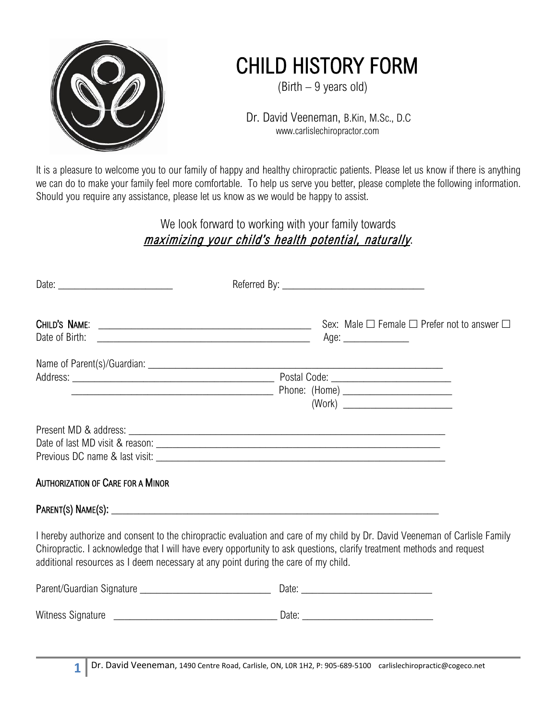

## CHILD HISTORY FORM<br>(Birth – 9 years old)

 Dr. David Veeneman, B.Kin, M.Sc., D.C www.carlislechiropractor.com

It is a pleasure to welcome you to our family of happy and healthy chiropractic patients. Please let us know if there is anything we can do to make your family feel more comfortable. To help us serve you better, please complete the following information. Should you require any assistance, please let us know as we would be happy to assist.

> We look forward to working with your family towards maximizing your child's health potential, naturally.

| Date of Birth:<br><u> 1989 - Johann Barn, fransk politik (d. 1989)</u>             | Sex: Male $\Box$ Female $\Box$ Prefer not to answer $\Box$<br>Age: _______________                                                                                                                                                                    |
|------------------------------------------------------------------------------------|-------------------------------------------------------------------------------------------------------------------------------------------------------------------------------------------------------------------------------------------------------|
|                                                                                    |                                                                                                                                                                                                                                                       |
|                                                                                    |                                                                                                                                                                                                                                                       |
|                                                                                    |                                                                                                                                                                                                                                                       |
|                                                                                    |                                                                                                                                                                                                                                                       |
|                                                                                    |                                                                                                                                                                                                                                                       |
|                                                                                    |                                                                                                                                                                                                                                                       |
|                                                                                    |                                                                                                                                                                                                                                                       |
| <b>AUTHORIZATION OF CARE FOR A MINOR</b>                                           |                                                                                                                                                                                                                                                       |
|                                                                                    |                                                                                                                                                                                                                                                       |
| additional resources as I deem necessary at any point during the care of my child. | I hereby authorize and consent to the chiropractic evaluation and care of my child by Dr. David Veeneman of Carlisle Family<br>Chiropractic. I acknowledge that I will have every opportunity to ask questions, clarify treatment methods and request |
|                                                                                    |                                                                                                                                                                                                                                                       |
|                                                                                    |                                                                                                                                                                                                                                                       |
|                                                                                    |                                                                                                                                                                                                                                                       |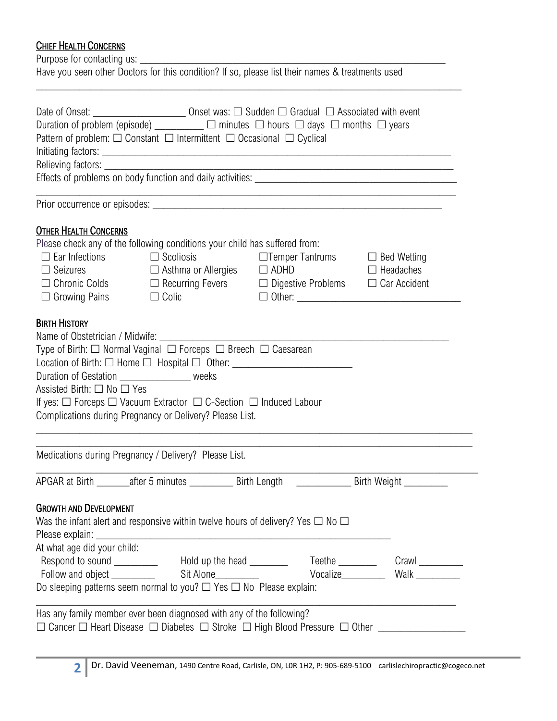## **CHIEF HEALTH CONCERNS**

Purpose for contacting us: \_\_\_\_\_\_\_\_\_\_\_\_\_\_\_\_\_\_\_\_\_\_\_\_\_\_\_\_\_\_\_\_\_\_\_\_\_\_\_\_\_\_\_\_\_\_\_\_\_\_\_\_\_\_\_\_

|  | Have you seen other Doctors for this condition? If so, please list their names & treatments used |
|--|--------------------------------------------------------------------------------------------------|
|--|--------------------------------------------------------------------------------------------------|

\_\_\_\_\_\_\_\_\_\_\_\_\_\_\_\_\_\_\_\_\_\_\_\_\_\_\_\_\_\_\_\_\_\_\_\_\_\_\_\_\_\_\_\_\_\_\_\_\_\_\_\_\_\_\_\_\_\_\_\_\_\_\_\_\_\_\_\_\_\_\_\_\_\_\_\_\_\_

|                                                | Date of Onset: ___________________________________Onset was: □ Sudden □ Gradual □ Associated with event              |                                                                                                                       |                  |
|------------------------------------------------|----------------------------------------------------------------------------------------------------------------------|-----------------------------------------------------------------------------------------------------------------------|------------------|
|                                                | Duration of problem (episode) $\Box$ $\Box$ minutes $\Box$ hours $\Box$ days $\Box$ months $\Box$ years              |                                                                                                                       |                  |
|                                                | Pattern of problem: $\Box$ Constant $\Box$ Intermittent $\Box$ Occasional $\Box$ Cyclical                            |                                                                                                                       |                  |
|                                                |                                                                                                                      |                                                                                                                       |                  |
|                                                |                                                                                                                      |                                                                                                                       |                  |
|                                                |                                                                                                                      |                                                                                                                       |                  |
|                                                |                                                                                                                      | <u> 1989 - Johann Stoff, deutscher Stoff, der Stoff, der Stoff, der Stoff, der Stoff, der Stoff, der Stoff, der S</u> |                  |
| <b>OTHER HEALTH CONCERNS</b>                   |                                                                                                                      |                                                                                                                       |                  |
|                                                | Please check any of the following conditions your child has suffered from:                                           |                                                                                                                       |                  |
| $\Box$ Ear Infections $\Box$ Scoliosis         |                                                                                                                      | □Temper Tantrums □ Bed Wetting                                                                                        |                  |
| $\Box$ Seizures                                | $\Box$ Asthma or Allergies $\Box$ ADHD                                                                               |                                                                                                                       | $\Box$ Headaches |
| $\Box$ Growing Pains                           | $\Box$ Chronic Colds $\Box$ Recurring Fevers $\Box$ Digestive Problems $\Box$ Car Accident<br>$\Box$ Colic           |                                                                                                                       |                  |
| <b>BIRTH HISTORY</b>                           |                                                                                                                      |                                                                                                                       |                  |
|                                                | Name of Obstetrician / Midwife:                                                                                      |                                                                                                                       |                  |
|                                                |                                                                                                                      |                                                                                                                       |                  |
|                                                | Location of Birth: $\Box$ Home $\Box$ Hospital $\Box$ Other: __________________________                              |                                                                                                                       |                  |
| Duration of Gestation __________________ weeks |                                                                                                                      |                                                                                                                       |                  |
| Assisted Birth: $\square$ No $\square$ Yes     |                                                                                                                      |                                                                                                                       |                  |
|                                                | If yes: $\Box$ Forceps $\Box$ Vacuum Extractor $\Box$ C-Section $\Box$ Induced Labour                                |                                                                                                                       |                  |
|                                                | Complications during Pregnancy or Delivery? Please List.                                                             |                                                                                                                       |                  |
|                                                | Medications during Pregnancy / Delivery? Please List.                                                                |                                                                                                                       |                  |
|                                                | APGAR at Birth ________after 5 minutes _______________Birth Length _______________________Birth Weight _____________ |                                                                                                                       |                  |
|                                                |                                                                                                                      |                                                                                                                       |                  |
| <b>GROWTH AND DEVELOPMENT</b>                  |                                                                                                                      |                                                                                                                       |                  |
|                                                | Was the infant alert and responsive within twelve hours of delivery? Yes $\Box$ No $\Box$                            |                                                                                                                       |                  |
| Please explain: _                              | <u> 1989 - Johann John Stone, markin film yn y brenin y brenin y brenin y brenin y brenin y brenin y brenin y br</u> |                                                                                                                       |                  |
| At what age did your child:                    |                                                                                                                      |                                                                                                                       |                  |
|                                                |                                                                                                                      |                                                                                                                       |                  |
|                                                |                                                                                                                      |                                                                                                                       |                  |
|                                                | Do sleeping patterns seem normal to you? $\Box$ Yes $\Box$ No Please explain:                                        |                                                                                                                       |                  |
|                                                | Has any family member ever been diagnosed with any of the following?                                                 |                                                                                                                       |                  |
|                                                | $\Box$ Cancer $\Box$ Heart Disease $\Box$ Diabetes $\Box$ Stroke $\Box$ High Blood Pressure $\Box$ Other $\Box$      |                                                                                                                       |                  |
|                                                |                                                                                                                      |                                                                                                                       |                  |